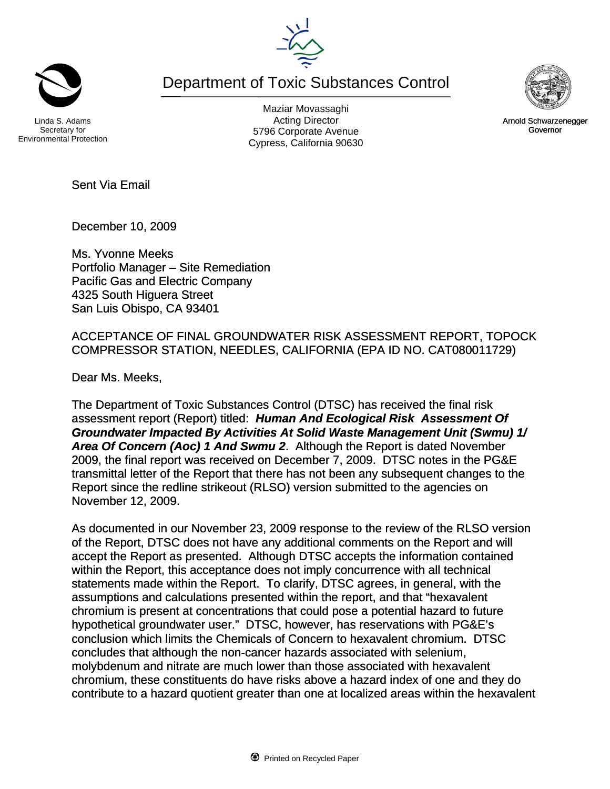Department of Toxic Substances Control



Maziar Movassaghi Acting Director 5796 Corporate Avenue Cypress, California 90630



Arnold Schwarzenegger Governor

Sent Via Email

December 10, 2009

Ms. Yvonne Meeks Portfolio Manager – Site Remediation Pacific Gas and Electric Company 4325 South Higuera Street San Luis Obispo, CA 93401

ACCEPTANCE OF FINAL GROUNDWATER RISK ASSESSMENT REPORT, TOPOCK COMPRESSOR STATION, NEEDLES, CALIFORNIA (EPA ID NO. CAT080011729)

Dear Ms. Meeks,

The Department of Toxic Substances Control (DTSC) has received the final risk assessment report (Report) titled: *Human And Ecological Risk Assessment Of Groundwater Impacted By Activities At Solid Waste Management Unit (Swmu) 1/ Area Of Concern (Aoc) 1 And Swmu 2*. Although the Report is dated November 2009, the final report was received on December 7, 2009. DTSC notes in the PG&E transmittal letter of the Report that there has not been any subsequent changes to the Report since the redline strikeout (RLSO) version submitted to the agencies on November 12, 2009.

As documented in our November 23, 2009 response to the review of the RLSO version of the Report, DTSC does not have any additional comments on the Report and will accept the Report as presented. Although DTSC accepts the information contained within the Report, this acceptance does not imply concurrence with all technical statements made within the Report. To clarify, DTSC agrees, in general, with the assumptions and calculations presented within the report, and that "hexavalent chromium is present at concentrations that could pose a potential hazard to future hypothetical groundwater user." DTSC, however, has reservations with PG&E's conclusion which limits the Chemicals of Concern to hexavalent chromium. DTSC concludes that although the non-cancer hazards associated with selenium, molybdenum and nitrate are much lower than those associated with hexavalent chromium, these constituents do have risks above a hazard index of one and they do contribute to a hazard quotient greater than one at localized areas within the hexavalent

Secretary for Environmental Protection